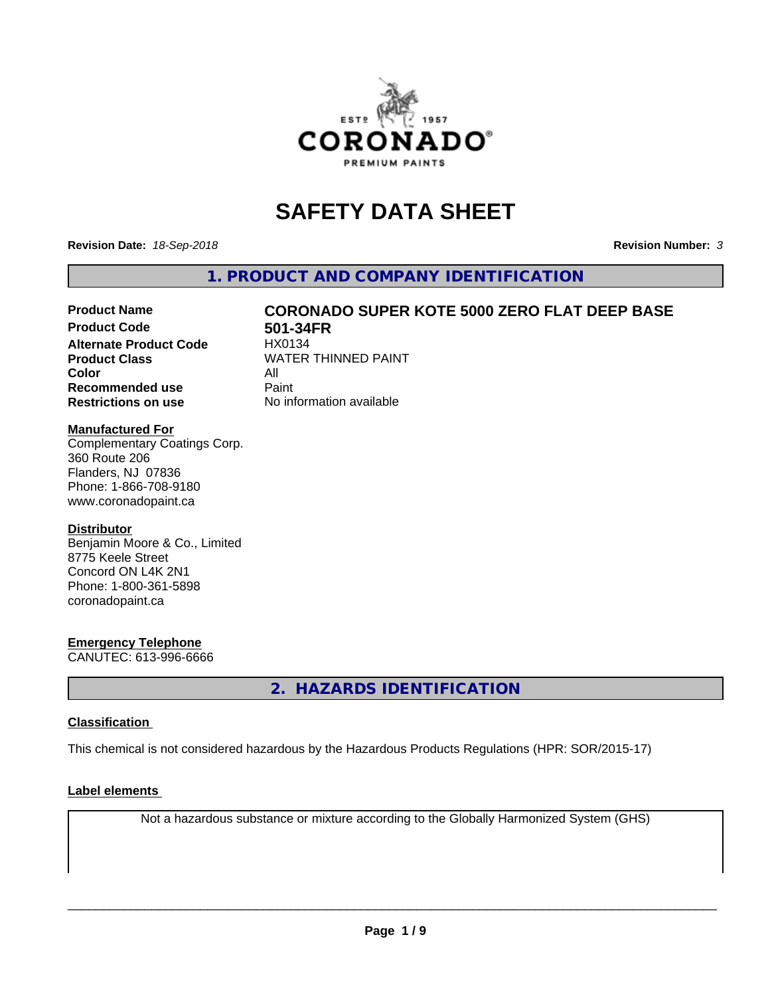

## **SAFETY DATA SHEET**

**Revision Date:** *18-Sep-2018* **Revision Number:** *3*

**1. PRODUCT AND COMPANY IDENTIFICATION**

# Product Name **CORONADO SUPER KOTE 5000 ZERO FLAT DEEP BASE**<br>Product Code 501-34FR

**Alternate Product Code Color** All<br> **Recommended use** Paint **Recommended use Restrictions on use** No information available

**501-34FR**<br>HX0134 **Product Class WATER THINNED PAINT** 

#### **Manufactured For**

Complementary Coatings Corp. 360 Route 206 Flanders, NJ 07836 Phone: 1-866-708-9180 www.coronadopaint.ca

#### **Distributor**

Benjamin Moore & Co., Limited 8775 Keele Street Concord ON L4K 2N1 Phone: 1-800-361-5898 coronadopaint.ca

#### **Emergency Telephone**

CANUTEC: 613-996-6666

**2. HAZARDS IDENTIFICATION**

#### **Classification**

This chemical is not considered hazardous by the Hazardous Products Regulations (HPR: SOR/2015-17)

#### **Label elements**

Not a hazardous substance or mixture according to the Globally Harmonized System (GHS)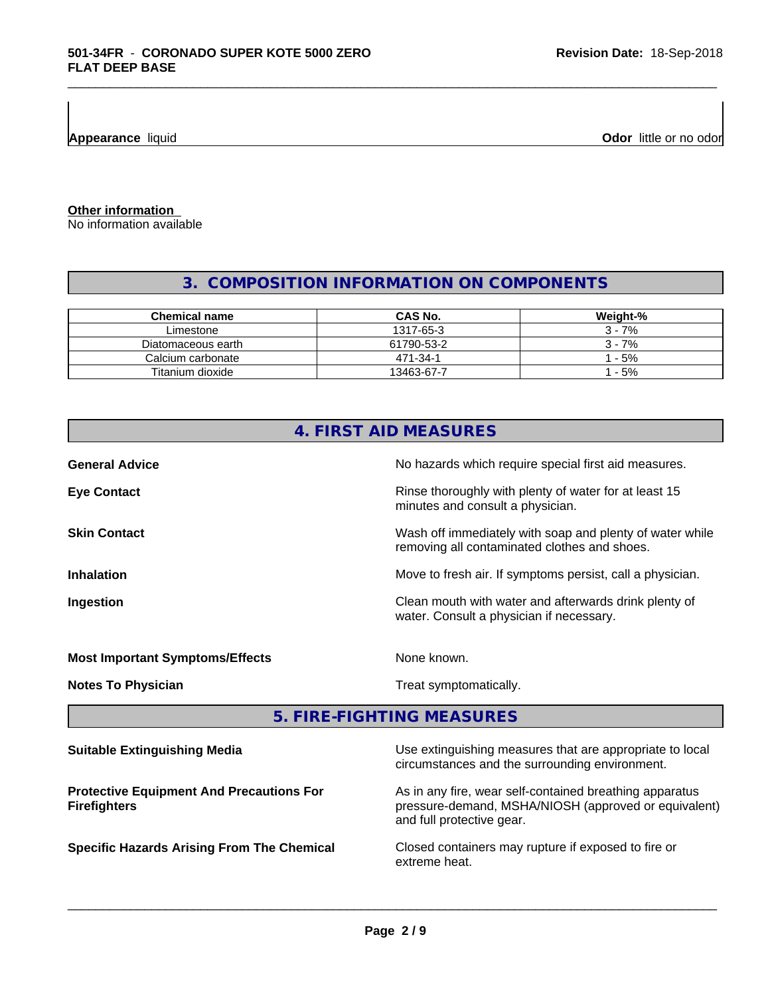**Appearance** liquid

**Odor** little or no odor

**Other information**

No information available

### **3. COMPOSITION INFORMATION ON COMPONENTS**

\_\_\_\_\_\_\_\_\_\_\_\_\_\_\_\_\_\_\_\_\_\_\_\_\_\_\_\_\_\_\_\_\_\_\_\_\_\_\_\_\_\_\_\_\_\_\_\_\_\_\_\_\_\_\_\_\_\_\_\_\_\_\_\_\_\_\_\_\_\_\_\_\_\_\_\_\_\_\_\_\_\_\_\_\_\_\_\_\_\_\_\_\_

| Chemical name      | CAS No.    | Weight-% |
|--------------------|------------|----------|
| Limestone          | 1317-65-3  | $3 - 7%$ |
| Diatomaceous earth | 61790-53-2 | $3 - 7%$ |
| Calcium carbonate  | 471-34-1   | $-5%$    |
| Titanium dioxide   | 13463-67-7 | $-5%$    |

|                                                                        | 4. FIRST AID MEASURES                                                                                           |
|------------------------------------------------------------------------|-----------------------------------------------------------------------------------------------------------------|
| <b>General Advice</b>                                                  | No hazards which require special first aid measures.                                                            |
| <b>Eye Contact</b>                                                     | Rinse thoroughly with plenty of water for at least 15<br>minutes and consult a physician.                       |
| <b>Skin Contact</b>                                                    | Wash off immediately with soap and plenty of water while<br>removing all contaminated clothes and shoes.        |
| <b>Inhalation</b>                                                      | Move to fresh air. If symptoms persist, call a physician.                                                       |
| Ingestion                                                              | Clean mouth with water and afterwards drink plenty of<br>water. Consult a physician if necessary.               |
| <b>Most Important Symptoms/Effects</b>                                 | None known.                                                                                                     |
| <b>Notes To Physician</b>                                              | Treat symptomatically.                                                                                          |
|                                                                        | 5. FIRE-FIGHTING MEASURES                                                                                       |
| <b>Suitable Extinguishing Media</b>                                    | Use extinguishing measures that are appropriate to local<br>circumstances and the surrounding environment.      |
| <b>Protective Equipment And Precautions For</b><br><b>Firefighters</b> | As in any fire, wear self-contained breathing apparatus<br>pressure-demand, MSHA/NIOSH (approved or equivalent) |

and full protective gear.

**Specific Hazards Arising From The Chemical Closed containers may rupture if exposed to fire or** extreme heat.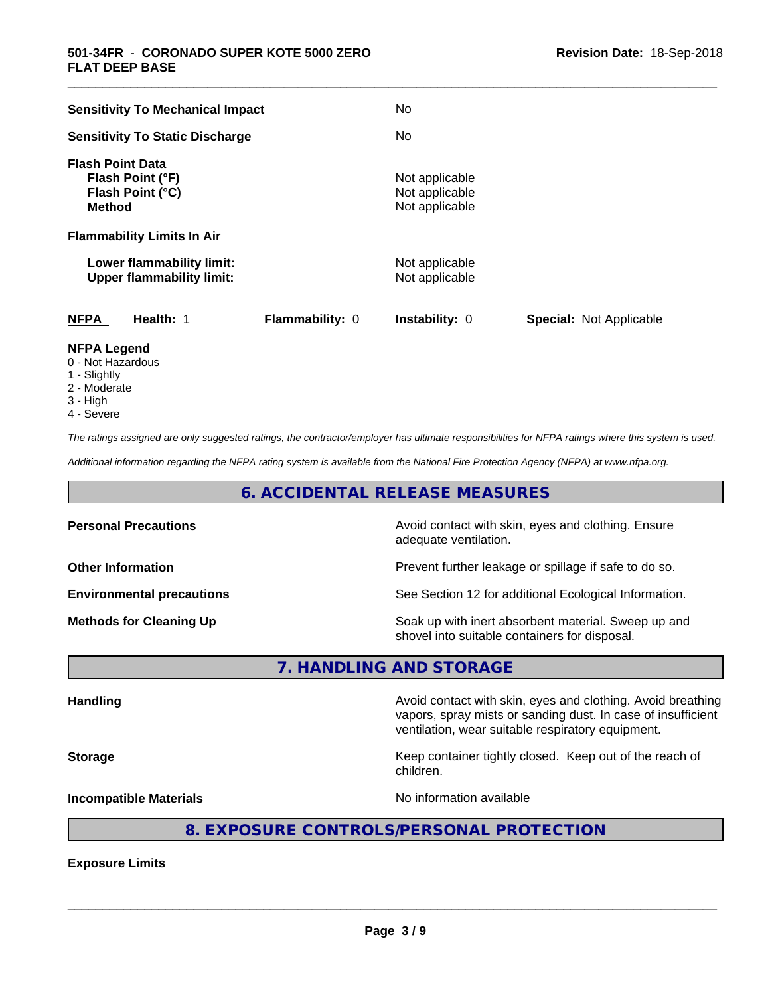| <b>Sensitivity To Mechanical Impact</b>                                          | No                                                 |                                |
|----------------------------------------------------------------------------------|----------------------------------------------------|--------------------------------|
| <b>Sensitivity To Static Discharge</b>                                           | No.                                                |                                |
| <b>Flash Point Data</b><br>Flash Point (°F)<br>Flash Point (°C)<br><b>Method</b> | Not applicable<br>Not applicable<br>Not applicable |                                |
| <b>Flammability Limits In Air</b>                                                |                                                    |                                |
| Lower flammability limit:<br><b>Upper flammability limit:</b>                    | Not applicable<br>Not applicable                   |                                |
| <b>NFPA</b><br>Health: 1<br>Flammability: 0                                      | <b>Instability: 0</b>                              | <b>Special: Not Applicable</b> |
| <b>NFPA Legend</b>                                                               |                                                    |                                |

\_\_\_\_\_\_\_\_\_\_\_\_\_\_\_\_\_\_\_\_\_\_\_\_\_\_\_\_\_\_\_\_\_\_\_\_\_\_\_\_\_\_\_\_\_\_\_\_\_\_\_\_\_\_\_\_\_\_\_\_\_\_\_\_\_\_\_\_\_\_\_\_\_\_\_\_\_\_\_\_\_\_\_\_\_\_\_\_\_\_\_\_\_

- 0 Not Hazardous
- 1 Slightly
- 2 Moderate
- 3 High
- 4 Severe

*The ratings assigned are only suggested ratings, the contractor/employer has ultimate responsibilities for NFPA ratings where this system is used.*

*Additional information regarding the NFPA rating system is available from the National Fire Protection Agency (NFPA) at www.nfpa.org.*

#### **6. ACCIDENTAL RELEASE MEASURES**

| <b>Personal Precautions</b>      | Avoid contact with skin, eyes and clothing. Ensure<br>adequate ventilation.                          |
|----------------------------------|------------------------------------------------------------------------------------------------------|
| <b>Other Information</b>         | Prevent further leakage or spillage if safe to do so.                                                |
| <b>Environmental precautions</b> | See Section 12 for additional Ecological Information.                                                |
| <b>Methods for Cleaning Up</b>   | Soak up with inert absorbent material. Sweep up and<br>shovel into suitable containers for disposal. |

**7. HANDLING AND STORAGE**

Handling **Handling Avoid contact with skin, eyes and clothing. Avoid breathing Handling** vapors, spray mists or sanding dust. In case of insufficient ventilation, wear suitable respiratory equipment. **Storage Keep container tightly closed. Keep out of the reach of the reach of the reach of the reach of the reach of the reach of the reach of the reach of the reach of the reach of the reach of the reach of the reach of** children. **Incompatible Materials Incompatible Materials No information available** 

### **8. EXPOSURE CONTROLS/PERSONAL PROTECTION**

**Exposure Limits**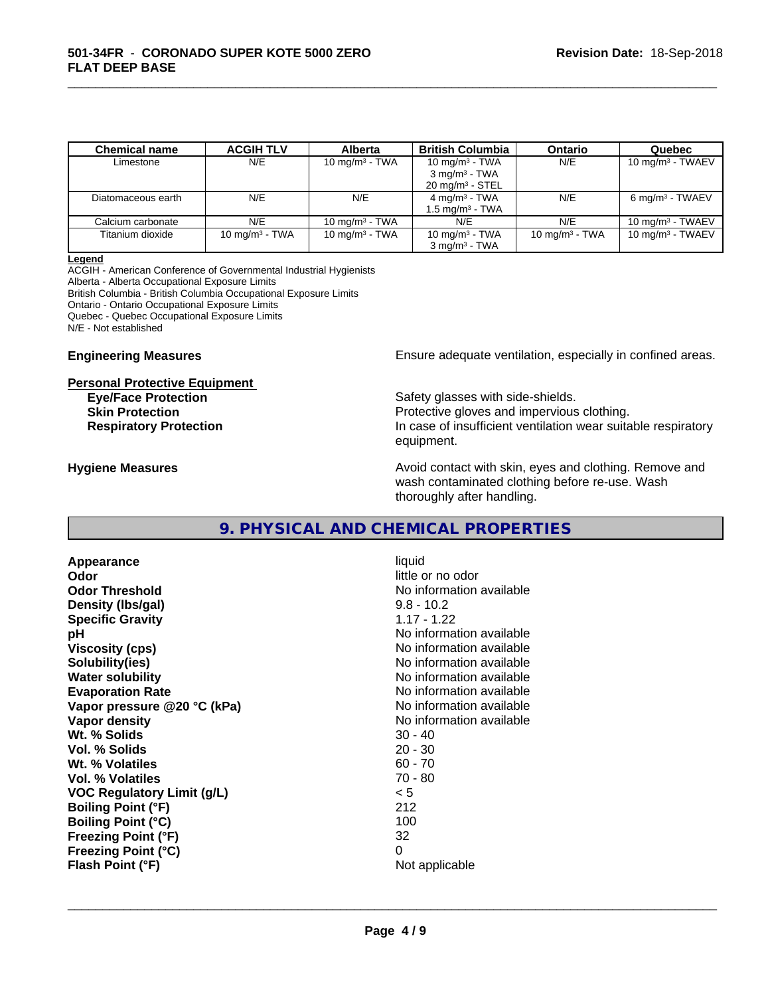| <b>Chemical name</b> | <b>ACGIH TLV</b> | <b>Alberta</b>    | <b>British Columbia</b>    | <b>Ontario</b>    | Quebec                      |
|----------------------|------------------|-------------------|----------------------------|-------------------|-----------------------------|
| Limestone            | N/E              | 10 mg/m $3$ - TWA | 10 $mq/m3$ - TWA           | N/E               | $10 \text{ mg/m}^3$ - TWAEV |
|                      |                  |                   | $3 \text{ mg/m}^3$ - TWA   |                   |                             |
|                      |                  |                   | $20 \text{ mg/m}^3$ - STEL |                   |                             |
| Diatomaceous earth   | N/E              | N/E               | $4 \text{ mg/m}^3$ - TWA   | N/E               | 6 mg/m <sup>3</sup> - TWAEV |
|                      |                  |                   | $1.5 \text{ mg/m}^3$ - TWA |                   |                             |
| Calcium carbonate    | N/E              | 10 mg/m $3$ - TWA | N/E                        | N/E               | $10 \text{ ma/m}^3$ - TWAEV |
| Titanium dioxide     | 10 $mq/m3$ - TWA | 10 mg/m $3$ - TWA | 10 mg/m $3$ - TWA          | 10 mg/m $3$ - TWA | 10 mg/m $3$ - TWAEV         |
|                      |                  |                   | $3 \text{ ma/m}^3$ - TWA   |                   |                             |

\_\_\_\_\_\_\_\_\_\_\_\_\_\_\_\_\_\_\_\_\_\_\_\_\_\_\_\_\_\_\_\_\_\_\_\_\_\_\_\_\_\_\_\_\_\_\_\_\_\_\_\_\_\_\_\_\_\_\_\_\_\_\_\_\_\_\_\_\_\_\_\_\_\_\_\_\_\_\_\_\_\_\_\_\_\_\_\_\_\_\_\_\_

#### **Legend**

ACGIH - American Conference of Governmental Industrial Hygienists Alberta - Alberta Occupational Exposure Limits British Columbia - British Columbia Occupational Exposure Limits Ontario - Ontario Occupational Exposure Limits Quebec - Quebec Occupational Exposure Limits N/E - Not established

# **Personal Protective Equipment**

**Engineering Measures Ensure adequate ventilation, especially in confined areas.** 

**Eye/Face Protection** Safety glasses with side-shields. **Skin Protection Protection Protective gloves and impervious clothing. Respiratory Protection In case of insufficient ventilation wear suitable respiratory** equipment.

**Hygiene Measures Avoid contact with skin, eyes and clothing. Remove and Avoid contact with skin, eyes and clothing. Remove and Avoid contact with skin, eyes and clothing. Remove and** wash contaminated clothing before re-use. Wash thoroughly after handling.

#### **9. PHYSICAL AND CHEMICAL PROPERTIES**

**Appearance** liquid **Odor** little or no odor **Odor Threshold No information available No information available Density (lbs/gal)** 9.8 - 10.2 **Specific Gravity** 1.17 - 1.22 **pH** No information available **Viscosity (cps)** No information available **Solubility(ies)** No information available **Water solubility Water solubility Water solubility Water solubility Water solubility Water solution Evaporation Rate Conservation Rate** No information available valuable valuable valuable valuable valuable valuable valuable valuable **Vapor** pressure @20 °C (kPa) **Vapor density Vapor density No information available Wt. % Solids 30 - 40<br>
<b>Vol. % Solids** 30 - 40<br> **Vol. % Solids** 30 - 30 **Vol. % Solids Wt.** % Volatiles 60 - 70 **Vol. % Volatiles** 70 - 80 **VOC Regulatory Limit (g/L)** < 5 **Boiling Point (°F)** 212 **Boiling Point (°C)** 100 **Freezing Point (°F)** 32 **Freezing Point (°C)** 0 **Flash Point (°F)** Not applicable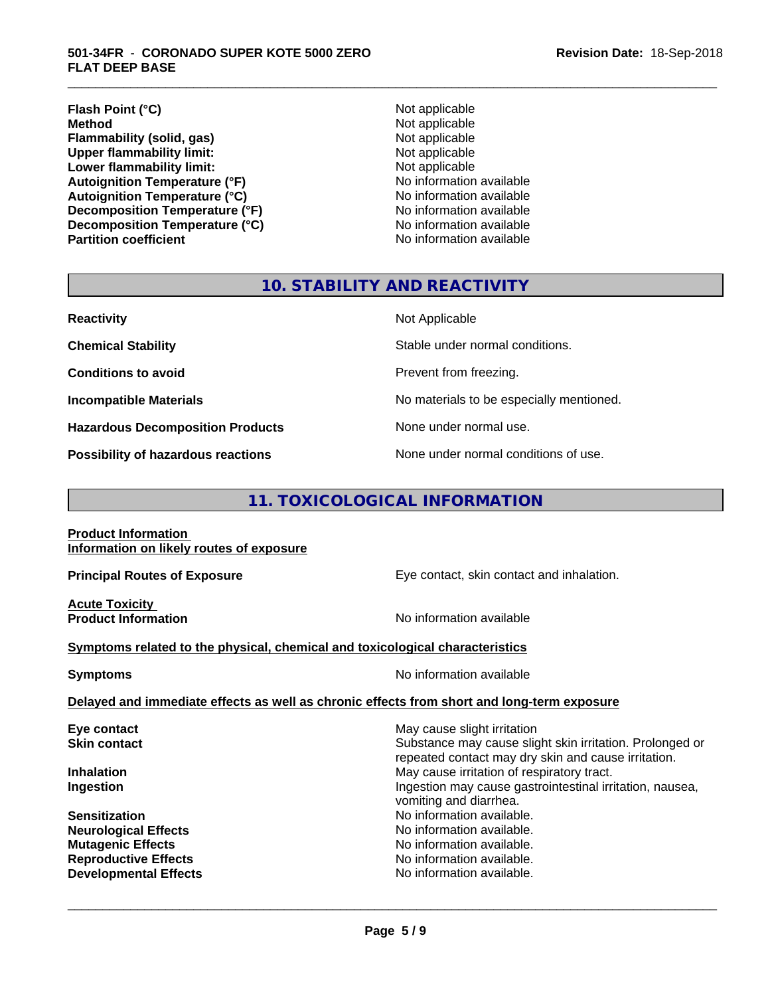**Flash Point (°C)**<br> **Method** Not applicable<br> **Method** Not applicable **Flammability (solid, gas)**<br> **Commability limit:**<br>
Upper flammability limit:<br>
Not applicable **Upper flammability limit:**<br> **Lower flammability limit:**<br>
Not applicable<br>
Not applicable **Lower flammability limit:**<br> **Autoignition Temperature (°F)**<br>
Mo information available **Autoignition Temperature (°F) Autoignition Temperature (°C)**<br> **Decomposition Temperature (°F)** No information available **Decomposition Temperature (°F)** No information available<br> **Decomposition Temperature (°C)** No information available **Decomposition Temperature (°C) Partition coefficient Contract Contract Contract Contract Contract Contract Contract Contract Contract Contract Contract Contract Contract Contract Contract Contract Contract Contract Contract Contract Contract Contract** 

**Not applicable**<br>Not applicable

\_\_\_\_\_\_\_\_\_\_\_\_\_\_\_\_\_\_\_\_\_\_\_\_\_\_\_\_\_\_\_\_\_\_\_\_\_\_\_\_\_\_\_\_\_\_\_\_\_\_\_\_\_\_\_\_\_\_\_\_\_\_\_\_\_\_\_\_\_\_\_\_\_\_\_\_\_\_\_\_\_\_\_\_\_\_\_\_\_\_\_\_\_

#### **10. STABILITY AND REACTIVITY**

| <b>Reactivity</b>                         | Not Applicable                           |
|-------------------------------------------|------------------------------------------|
| <b>Chemical Stability</b>                 | Stable under normal conditions.          |
| <b>Conditions to avoid</b>                | Prevent from freezing.                   |
| <b>Incompatible Materials</b>             | No materials to be especially mentioned. |
| <b>Hazardous Decomposition Products</b>   | None under normal use.                   |
| <b>Possibility of hazardous reactions</b> | None under normal conditions of use.     |

### **11. TOXICOLOGICAL INFORMATION**

**Product Information Information on likely routes of exposure**

**Acute Toxicity** 

**Principal Routes of Exposure Exposure** Eye contact, skin contact and inhalation.

**Product Information Intervention No information available** 

 $\overline{\phantom{a}}$  ,  $\overline{\phantom{a}}$  ,  $\overline{\phantom{a}}$  ,  $\overline{\phantom{a}}$  ,  $\overline{\phantom{a}}$  ,  $\overline{\phantom{a}}$  ,  $\overline{\phantom{a}}$  ,  $\overline{\phantom{a}}$  ,  $\overline{\phantom{a}}$  ,  $\overline{\phantom{a}}$  ,  $\overline{\phantom{a}}$  ,  $\overline{\phantom{a}}$  ,  $\overline{\phantom{a}}$  ,  $\overline{\phantom{a}}$  ,  $\overline{\phantom{a}}$  ,  $\overline{\phantom{a}}$ 

#### **Symptoms** related to the physical, chemical and toxicological characteristics

**Symptoms** No information available

**Delayed and immediate effects as well as chronic effects from short and long-term exposure**

| Eye contact                  | May cause slight irritation                              |
|------------------------------|----------------------------------------------------------|
| <b>Skin contact</b>          | Substance may cause slight skin irritation. Prolonged or |
|                              | repeated contact may dry skin and cause irritation.      |
| <b>Inhalation</b>            | May cause irritation of respiratory tract.               |
| Ingestion                    | Ingestion may cause gastrointestinal irritation, nausea, |
|                              | vomiting and diarrhea.                                   |
| <b>Sensitization</b>         | No information available.                                |
| <b>Neurological Effects</b>  | No information available.                                |
| <b>Mutagenic Effects</b>     | No information available.                                |
| <b>Reproductive Effects</b>  | No information available.                                |
| <b>Developmental Effects</b> | No information available.                                |
|                              |                                                          |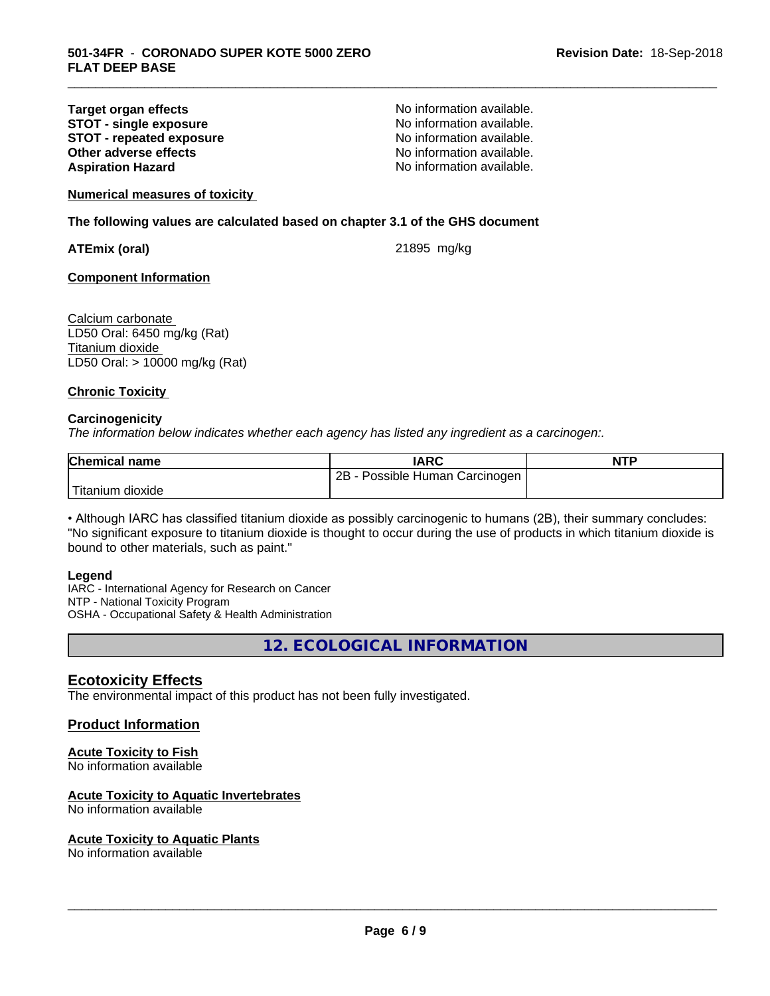#### **Target organ effects No information available.**<br> **STOT - single exposure No information available. STOT** - single exposure<br> **STOT** - repeated exposure<br> **STOT** - repeated exposure<br>
No information available. **STOT - repeated exposure and intervals and information available.**<br> **Other adverse effects CONFING ACCOUNTER CONFING AVAILA No information available. Other adverse effects Aspiration Hazard Aspiration Hazard No information available.**

\_\_\_\_\_\_\_\_\_\_\_\_\_\_\_\_\_\_\_\_\_\_\_\_\_\_\_\_\_\_\_\_\_\_\_\_\_\_\_\_\_\_\_\_\_\_\_\_\_\_\_\_\_\_\_\_\_\_\_\_\_\_\_\_\_\_\_\_\_\_\_\_\_\_\_\_\_\_\_\_\_\_\_\_\_\_\_\_\_\_\_\_\_

**Numerical measures of toxicity**

**The following values are calculated based on chapter 3.1 of the GHS document**

**ATEmix (oral)** 21895 mg/kg

**Component Information**

Calcium carbonate LD50 Oral: 6450 mg/kg (Rat) Titanium dioxide LD50 Oral: > 10000 mg/kg (Rat)

#### **Chronic Toxicity**

#### **Carcinogenicity**

*The information below indicateswhether each agency has listed any ingredient as a carcinogen:.*

| <b>Chemical name</b>  | IARC                                | <b>NTP</b> |
|-----------------------|-------------------------------------|------------|
|                       | $2B -$<br>Possible Human Carcinogen |            |
| Titanium J<br>dioxide |                                     |            |

• Although IARC has classified titanium dioxide as possibly carcinogenic to humans (2B), their summary concludes: "No significant exposure to titanium dioxide is thought to occur during the use of products in which titanium dioxide is bound to other materials, such as paint."

#### **Legend**

IARC - International Agency for Research on Cancer NTP - National Toxicity Program OSHA - Occupational Safety & Health Administration

**12. ECOLOGICAL INFORMATION**

#### **Ecotoxicity Effects**

The environmental impact of this product has not been fully investigated.

#### **Product Information**

#### **Acute Toxicity to Fish**

No information available

#### **Acute Toxicity to Aquatic Invertebrates**

No information available

#### **Acute Toxicity to Aquatic Plants**

No information available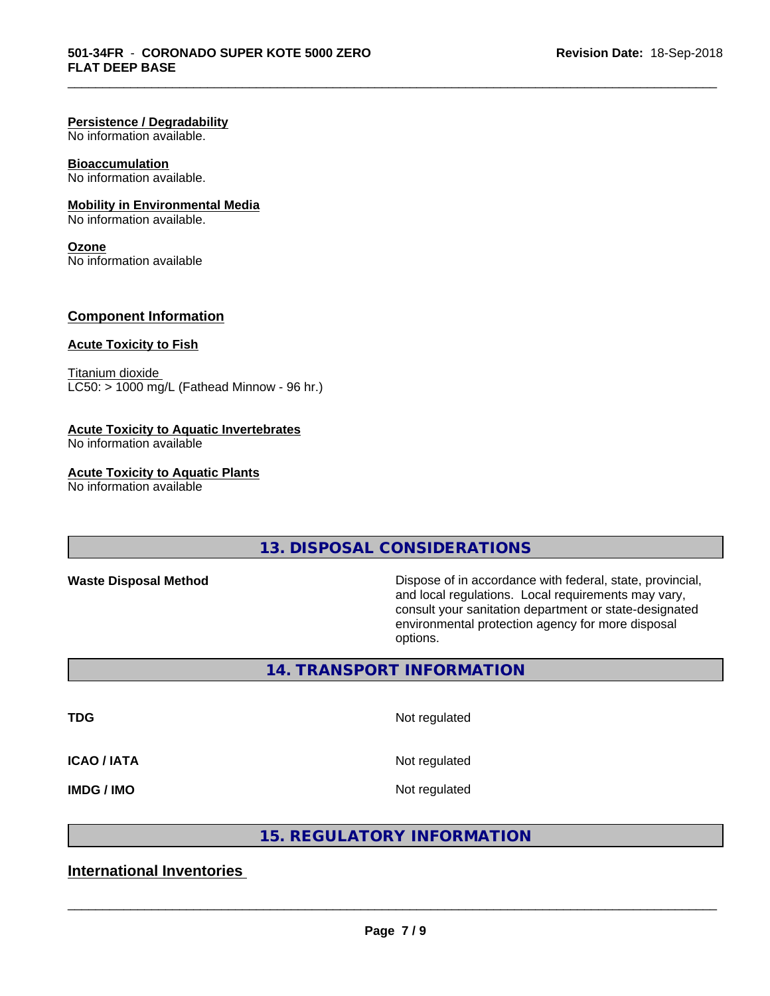#### **Persistence / Degradability**

No information available.

#### **Bioaccumulation**

No information available.

#### **Mobility in Environmental Media**

No information available.

#### **Ozone**

No information available

#### **Component Information**

#### **Acute Toxicity to Fish**

Titanium dioxide  $LCS0:$  > 1000 mg/L (Fathead Minnow - 96 hr.)

#### **Acute Toxicity to Aquatic Invertebrates**

No information available

#### **Acute Toxicity to Aquatic Plants**

No information available

### **13. DISPOSAL CONSIDERATIONS**

**Waste Disposal Method Dispose of in accordance with federal, state, provincial,** and local regulations. Local requirements may vary, consult your sanitation department or state-designated environmental protection agency for more disposal options.

#### **14. TRANSPORT INFORMATION**

**TDG** Not regulated

\_\_\_\_\_\_\_\_\_\_\_\_\_\_\_\_\_\_\_\_\_\_\_\_\_\_\_\_\_\_\_\_\_\_\_\_\_\_\_\_\_\_\_\_\_\_\_\_\_\_\_\_\_\_\_\_\_\_\_\_\_\_\_\_\_\_\_\_\_\_\_\_\_\_\_\_\_\_\_\_\_\_\_\_\_\_\_\_\_\_\_\_\_

**ICAO / IATA** Not regulated

**IMDG / IMO** Not regulated

 $\overline{\phantom{a}}$  ,  $\overline{\phantom{a}}$  ,  $\overline{\phantom{a}}$  ,  $\overline{\phantom{a}}$  ,  $\overline{\phantom{a}}$  ,  $\overline{\phantom{a}}$  ,  $\overline{\phantom{a}}$  ,  $\overline{\phantom{a}}$  ,  $\overline{\phantom{a}}$  ,  $\overline{\phantom{a}}$  ,  $\overline{\phantom{a}}$  ,  $\overline{\phantom{a}}$  ,  $\overline{\phantom{a}}$  ,  $\overline{\phantom{a}}$  ,  $\overline{\phantom{a}}$  ,  $\overline{\phantom{a}}$ 

#### **15. REGULATORY INFORMATION**

#### **International Inventories**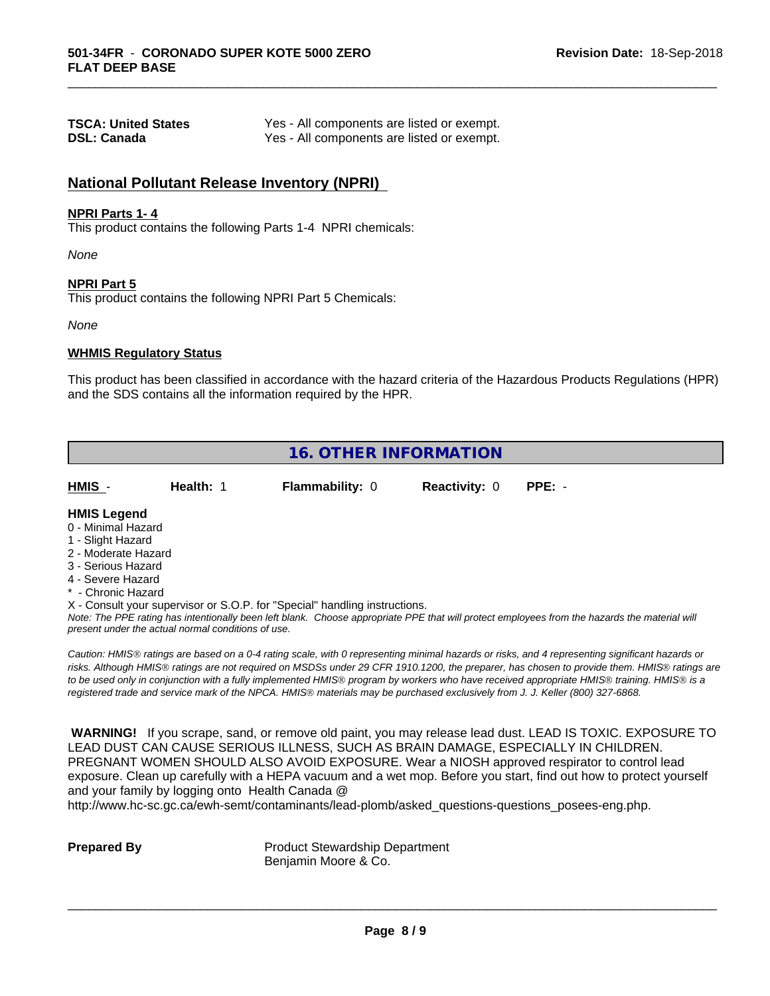| <b>TSCA: United States</b> | Yes - All components are listed or exempt. |
|----------------------------|--------------------------------------------|
| <b>DSL: Canada</b>         | Yes - All components are listed or exempt. |

#### **National Pollutant Release Inventory (NPRI)**

#### **NPRI Parts 1- 4**

This product contains the following Parts 1-4 NPRI chemicals:

*None*

#### **NPRI Part 5**

This product contains the following NPRI Part 5 Chemicals:

*None*

#### **WHMIS Regulatory Status**

This product has been classified in accordance with the hazard criteria of the Hazardous Products Regulations (HPR) and the SDS contains all the information required by the HPR.

\_\_\_\_\_\_\_\_\_\_\_\_\_\_\_\_\_\_\_\_\_\_\_\_\_\_\_\_\_\_\_\_\_\_\_\_\_\_\_\_\_\_\_\_\_\_\_\_\_\_\_\_\_\_\_\_\_\_\_\_\_\_\_\_\_\_\_\_\_\_\_\_\_\_\_\_\_\_\_\_\_\_\_\_\_\_\_\_\_\_\_\_\_

|                                                                                                                                                                                                             |           | <b>16. OTHER INFORMATION</b>                                                                                                  |                      |                                                                                                                                                                                                                                                                                                                                                                                                                                             |
|-------------------------------------------------------------------------------------------------------------------------------------------------------------------------------------------------------------|-----------|-------------------------------------------------------------------------------------------------------------------------------|----------------------|---------------------------------------------------------------------------------------------------------------------------------------------------------------------------------------------------------------------------------------------------------------------------------------------------------------------------------------------------------------------------------------------------------------------------------------------|
| HMIS -                                                                                                                                                                                                      | Health: 1 | <b>Flammability: 0</b>                                                                                                        | <b>Reactivity: 0</b> | $PPE: -$                                                                                                                                                                                                                                                                                                                                                                                                                                    |
| <b>HMIS Legend</b><br>0 - Minimal Hazard<br>1 - Slight Hazard<br>2 - Moderate Hazard<br>3 - Serious Hazard<br>4 - Severe Hazard<br>* - Chronic Hazard<br>present under the actual normal conditions of use. |           | X - Consult your supervisor or S.O.P. for "Special" handling instructions.                                                    |                      | Note: The PPE rating has intentionally been left blank. Choose appropriate PPE that will protect employees from the hazards the material will                                                                                                                                                                                                                                                                                               |
|                                                                                                                                                                                                             |           | registered trade and service mark of the NPCA. HMIS® materials may be purchased exclusively from J. J. Keller (800) 327-6868. |                      | Caution: HMIS® ratings are based on a 0-4 rating scale, with 0 representing minimal hazards or risks, and 4 representing significant hazards or<br>risks. Although HMIS® ratings are not required on MSDSs under 29 CFR 1910.1200, the preparer, has chosen to provide them. HMIS® ratings are<br>to be used only in conjunction with a fully implemented HMIS® program by workers who have received appropriate HMIS® training. HMIS® is a |

 **WARNING!** If you scrape, sand, or remove old paint, you may release lead dust. LEAD IS TOXIC. EXPOSURE TO LEAD DUST CAN CAUSE SERIOUS ILLNESS, SUCH AS BRAIN DAMAGE, ESPECIALLY IN CHILDREN. PREGNANT WOMEN SHOULD ALSO AVOID EXPOSURE. Wear a NIOSH approved respirator to control lead exposure. Clean up carefully with a HEPA vacuum and a wet mop. Before you start, find out how to protect yourself and your family by logging onto Health Canada @

http://www.hc-sc.gc.ca/ewh-semt/contaminants/lead-plomb/asked\_questions-questions\_posees-eng.php.

**Prepared By** Product Stewardship Department Benjamin Moore & Co.